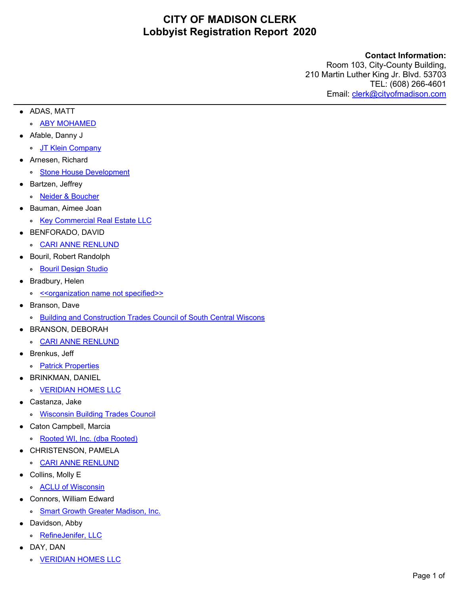### **Contact Information:**

- **•** ADAS, MATT
	- **°** [ABY MOHAMED](https://crystal.cityofmadison.com/WebReports/adapter/XReport.aspx?env=Webaccess&export=true&exporttype=5&reportName=/Webaccess/LobbyistRegistration&AltID=LOBREG-2020-00144)
- **•** Afable, Danny J
	- **°** [JT Klein Company](https://crystal.cityofmadison.com/WebReports/adapter/XReport.aspx?env=Webaccess&export=true&exporttype=5&reportName=/Webaccess/LobbyistRegistration&AltID=LOBREG-2020-00075)
- **•** Arnesen, Richard
	- **°** [Stone House Development](https://crystal.cityofmadison.com/WebReports/adapter/XReport.aspx?env=Webaccess&export=true&exporttype=5&reportName=/Webaccess/LobbyistRegistration&AltID=LOBREG-2020-00202)
- **•** Bartzen, Jeffrey
- **°** [Neider & Boucher](https://crystal.cityofmadison.com/WebReports/adapter/XReport.aspx?env=Webaccess&export=true&exporttype=5&reportName=/Webaccess/LobbyistRegistration&AltID=LOBREG-2020-00123)
- **•** Bauman, Aimee Joan
- **°** [Key Commercial Real Estate LLC](https://crystal.cityofmadison.com/WebReports/adapter/XReport.aspx?env=Webaccess&export=true&exporttype=5&reportName=/Webaccess/LobbyistRegistration&AltID=LOBREG-2020-00080)
- **•** BENFORADO, DAVID
- **°** [CARI ANNE RENLUND](https://crystal.cityofmadison.com/WebReports/adapter/XReport.aspx?env=Webaccess&export=true&exporttype=5&reportName=/Webaccess/LobbyistRegistration&AltID=LOBREG-2020-00195)
- **•** Bouril, Robert Randolph
	- **°** [Bouril Design Studio](https://crystal.cityofmadison.com/WebReports/adapter/XReport.aspx?env=Webaccess&export=true&exporttype=5&reportName=/Webaccess/LobbyistRegistration&AltID=LOBREG-2020-00086)
- **•** Bradbury, Helen
	- **°** [<<organization name not specified>>](https://crystal.cityofmadison.com/WebReports/adapter/XReport.aspx?env=Webaccess&export=true&exporttype=5&reportName=/Webaccess/LobbyistRegistration&AltID=LOBREG-2020-00201)
- **•** Branson, Dave
	- **°** [Building and Construction Trades Council of South Central Wiscons](https://crystal.cityofmadison.com/WebReports/adapter/XReport.aspx?env=Webaccess&export=true&exporttype=5&reportName=/Webaccess/LobbyistRegistration&AltID=LOBREG-2020-00106)
- **•** BRANSON, DEBORAH
	- **°** [CARI ANNE RENLUND](https://crystal.cityofmadison.com/WebReports/adapter/XReport.aspx?env=Webaccess&export=true&exporttype=5&reportName=/Webaccess/LobbyistRegistration&AltID=LOBREG-2020-00138)
- **•** Brenkus, Jeff
	- **°** [Patrick Properties](https://crystal.cityofmadison.com/WebReports/adapter/XReport.aspx?env=Webaccess&export=true&exporttype=5&reportName=/Webaccess/LobbyistRegistration&AltID=LOBREG-2020-00127)
- **•** BRINKMAN, DANIEL
	- **°** [VERIDIAN HOMES LLC](https://crystal.cityofmadison.com/WebReports/adapter/XReport.aspx?env=Webaccess&export=true&exporttype=5&reportName=/Webaccess/LobbyistRegistration&AltID=LOBREG-2020-00187)
- **•** Castanza, Jake
	- **°** [Wisconsin Building Trades Council](https://crystal.cityofmadison.com/WebReports/adapter/XReport.aspx?env=Webaccess&export=true&exporttype=5&reportName=/Webaccess/LobbyistRegistration&AltID=LOBREG-2020-00091)
- **•** Caton Campbell, Marcia
	- **°** [Rooted WI, Inc. \(dba Rooted\)](https://crystal.cityofmadison.com/WebReports/adapter/XReport.aspx?env=Webaccess&export=true&exporttype=5&reportName=/Webaccess/LobbyistRegistration&AltID=LOBREG-2020-00135)
- **•** CHRISTENSON, PAMELA
	- **°** [CARI ANNE RENLUND](https://crystal.cityofmadison.com/WebReports/adapter/XReport.aspx?env=Webaccess&export=true&exporttype=5&reportName=/Webaccess/LobbyistRegistration&AltID=LOBREG-2020-00197)
- **•** Collins, Molly E
	- **°** [ACLU of Wisconsin](https://crystal.cityofmadison.com/WebReports/adapter/XReport.aspx?env=Webaccess&export=true&exporttype=5&reportName=/Webaccess/LobbyistRegistration&AltID=LOBREG-2020-00104)
- **•** Connors, William Edward
	- **°** [Smart Growth Greater Madison, Inc.](https://crystal.cityofmadison.com/WebReports/adapter/XReport.aspx?env=Webaccess&export=true&exporttype=5&reportName=/Webaccess/LobbyistRegistration&AltID=LOBREG-2020-00006)
- **•** Davidson, Abby
	- **°** [RefineJenifer, LLC](https://crystal.cityofmadison.com/WebReports/adapter/XReport.aspx?env=Webaccess&export=true&exporttype=5&reportName=/Webaccess/LobbyistRegistration&AltID=LOBREG-2020-00125)
- **•** DAY, DAN
	- **°** [VERIDIAN HOMES LLC](https://crystal.cityofmadison.com/WebReports/adapter/XReport.aspx?env=Webaccess&export=true&exporttype=5&reportName=/Webaccess/LobbyistRegistration&AltID=LOBREG-2020-00185)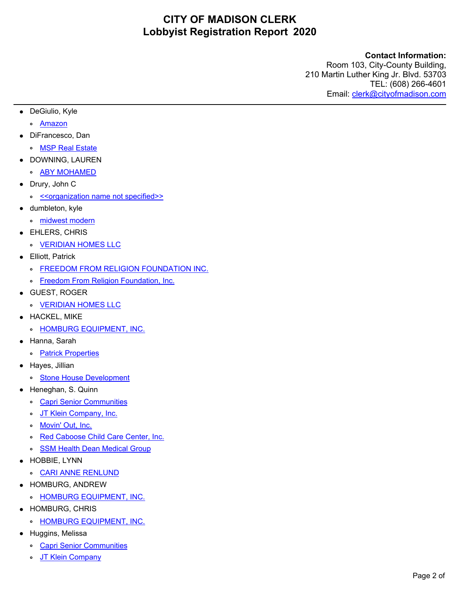### **Contact Information:**

- **•** DeGiulio, Kyle
	- **°** [Amazon](https://crystal.cityofmadison.com/WebReports/adapter/XReport.aspx?env=Webaccess&export=true&exporttype=5&reportName=/Webaccess/LobbyistRegistration&AltID=LOBREG-2020-00081)
- **•** DiFrancesco, Dan
	- **°** [MSP Real Estate](https://crystal.cityofmadison.com/WebReports/adapter/XReport.aspx?env=Webaccess&export=true&exporttype=5&reportName=/Webaccess/LobbyistRegistration&AltID=LOBREG-2020-00126)
- **•** DOWNING, LAUREN
	- **°** [ABY MOHAMED](https://crystal.cityofmadison.com/WebReports/adapter/XReport.aspx?env=Webaccess&export=true&exporttype=5&reportName=/Webaccess/LobbyistRegistration&AltID=LOBREG-2020-00143)
- **•** Drury, John C
	- **°** [<<organization name not specified>>](https://crystal.cityofmadison.com/WebReports/adapter/XReport.aspx?env=Webaccess&export=true&exporttype=5&reportName=/Webaccess/LobbyistRegistration&AltID=LOBREG-2020-00098)
- **•** dumbleton, kyle
- **°** [midwest modern](https://crystal.cityofmadison.com/WebReports/adapter/XReport.aspx?env=Webaccess&export=true&exporttype=5&reportName=/Webaccess/LobbyistRegistration&AltID=LOBREG-2020-00004)
- **•** EHLERS, CHRIS
	- **°** [VERIDIAN HOMES LLC](https://crystal.cityofmadison.com/WebReports/adapter/XReport.aspx?env=Webaccess&export=true&exporttype=5&reportName=/Webaccess/LobbyistRegistration&AltID=LOBREG-2020-00182)
- **•** Elliott, Patrick
	- **°** [FREEDOM FROM RELIGION FOUNDATION INC.](https://crystal.cityofmadison.com/WebReports/adapter/XReport.aspx?env=Webaccess&export=true&exporttype=5&reportName=/Webaccess/LobbyistRegistration&AltID=LOBREG-2020-00012)
	- **°** [Freedom From Religion Foundation, Inc.](https://crystal.cityofmadison.com/WebReports/adapter/XReport.aspx?env=Webaccess&export=true&exporttype=5&reportName=/Webaccess/LobbyistRegistration&AltID=LOBREG-2020-00188)
- **•** GUEST, ROGER
	- **°** [VERIDIAN HOMES LLC](https://crystal.cityofmadison.com/WebReports/adapter/XReport.aspx?env=Webaccess&export=true&exporttype=5&reportName=/Webaccess/LobbyistRegistration&AltID=LOBREG-2020-00183)
- **•** HACKEL, MIKE
	- **°** [HOMBURG EQUIPMENT, INC.](https://crystal.cityofmadison.com/WebReports/adapter/XReport.aspx?env=Webaccess&export=true&exporttype=5&reportName=/Webaccess/LobbyistRegistration&AltID=LOBREG-2020-00193)
- **•** Hanna, Sarah
	- **°** [Patrick Properties](https://crystal.cityofmadison.com/WebReports/adapter/XReport.aspx?env=Webaccess&export=true&exporttype=5&reportName=/Webaccess/LobbyistRegistration&AltID=LOBREG-2020-00128)
- **•** Hayes, Jillian
	- **°** [Stone House Development](https://crystal.cityofmadison.com/WebReports/adapter/XReport.aspx?env=Webaccess&export=true&exporttype=5&reportName=/Webaccess/LobbyistRegistration&AltID=LOBREG-2020-00203)
- **•** Heneghan, S. Quinn
	- **°** [Capri Senior Communities](https://crystal.cityofmadison.com/WebReports/adapter/XReport.aspx?env=Webaccess&export=true&exporttype=5&reportName=/Webaccess/LobbyistRegistration&AltID=LOBREG-2020-00039)
	- **°** [JT Klein Company, Inc.](https://crystal.cityofmadison.com/WebReports/adapter/XReport.aspx?env=Webaccess&export=true&exporttype=5&reportName=/Webaccess/LobbyistRegistration&AltID=LOBREG-2020-00036)
	- **°** [Movin' Out, Inc.](https://crystal.cityofmadison.com/WebReports/adapter/XReport.aspx?env=Webaccess&export=true&exporttype=5&reportName=/Webaccess/LobbyistRegistration&AltID=LOBREG-2020-00038)
	- **°** [Red Caboose Child Care Center, Inc.](https://crystal.cityofmadison.com/WebReports/adapter/XReport.aspx?env=Webaccess&export=true&exporttype=5&reportName=/Webaccess/LobbyistRegistration&AltID=LOBREG-2020-00040)
	- **°** [SSM Health Dean Medical Group](https://crystal.cityofmadison.com/WebReports/adapter/XReport.aspx?env=Webaccess&export=true&exporttype=5&reportName=/Webaccess/LobbyistRegistration&AltID=LOBREG-2020-00037)
- **•** HOBBIE, LYNN
	- **°** [CARI ANNE RENLUND](https://crystal.cityofmadison.com/WebReports/adapter/XReport.aspx?env=Webaccess&export=true&exporttype=5&reportName=/Webaccess/LobbyistRegistration&AltID=LOBREG-2020-00198)
- **•** HOMBURG, ANDREW
	- **°** [HOMBURG EQUIPMENT, INC.](https://crystal.cityofmadison.com/WebReports/adapter/XReport.aspx?env=Webaccess&export=true&exporttype=5&reportName=/Webaccess/LobbyistRegistration&AltID=LOBREG-2020-00191)
- **•** HOMBURG, CHRIS
	- **°** [HOMBURG EQUIPMENT, INC.](https://crystal.cityofmadison.com/WebReports/adapter/XReport.aspx?env=Webaccess&export=true&exporttype=5&reportName=/Webaccess/LobbyistRegistration&AltID=LOBREG-2020-00190)
- **•** Huggins, Melissa
	- **°** [Capri Senior Communities](https://crystal.cityofmadison.com/WebReports/adapter/XReport.aspx?env=Webaccess&export=true&exporttype=5&reportName=/Webaccess/LobbyistRegistration&AltID=LOBREG-2020-00033)
	- **°** [JT Klein Company](https://crystal.cityofmadison.com/WebReports/adapter/XReport.aspx?env=Webaccess&export=true&exporttype=5&reportName=/Webaccess/LobbyistRegistration&AltID=LOBREG-2020-00030)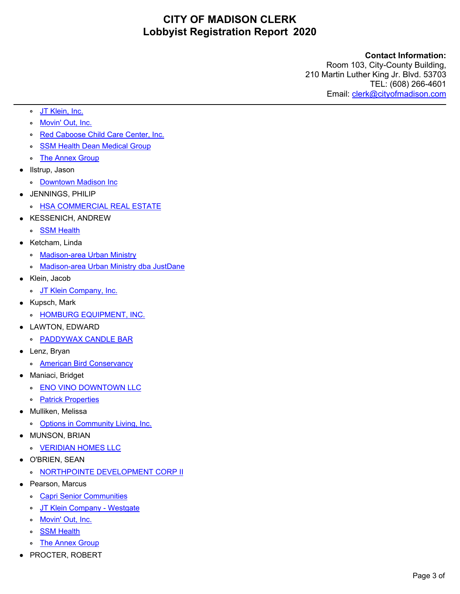### **Contact Information:**

- **°** [JT Klein, Inc.](https://crystal.cityofmadison.com/WebReports/adapter/XReport.aspx?env=Webaccess&export=true&exporttype=5&reportName=/Webaccess/LobbyistRegistration&AltID=LOBREG-2020-00029)
- **°** [Movin' Out, Inc.](https://crystal.cityofmadison.com/WebReports/adapter/XReport.aspx?env=Webaccess&export=true&exporttype=5&reportName=/Webaccess/LobbyistRegistration&AltID=LOBREG-2020-00032)
- **°** [Red Caboose Child Care Center, Inc.](https://crystal.cityofmadison.com/WebReports/adapter/XReport.aspx?env=Webaccess&export=true&exporttype=5&reportName=/Webaccess/LobbyistRegistration&AltID=LOBREG-2020-00034)
- **°** [SSM Health Dean Medical Group](https://crystal.cityofmadison.com/WebReports/adapter/XReport.aspx?env=Webaccess&export=true&exporttype=5&reportName=/Webaccess/LobbyistRegistration&AltID=LOBREG-2020-00031)
- **°** [The Annex Group](https://crystal.cityofmadison.com/WebReports/adapter/XReport.aspx?env=Webaccess&export=true&exporttype=5&reportName=/Webaccess/LobbyistRegistration&AltID=LOBREG-2020-00042)
- **•** Ilstrup, Jason
	- **°** [Downtown Madison Inc](https://crystal.cityofmadison.com/WebReports/adapter/XReport.aspx?env=Webaccess&export=true&exporttype=5&reportName=/Webaccess/LobbyistRegistration&AltID=LOBREG-2020-00194)
- **•** JENNINGS, PHILIP
	- **°** [HSA COMMERCIAL REAL ESTATE](https://crystal.cityofmadison.com/WebReports/adapter/XReport.aspx?env=Webaccess&export=true&exporttype=5&reportName=/Webaccess/LobbyistRegistration&AltID=LOBREG-2020-00137)
- **•** KESSENICH, ANDREW
	- **°** [SSM Health](https://crystal.cityofmadison.com/WebReports/adapter/XReport.aspx?env=Webaccess&export=true&exporttype=5&reportName=/Webaccess/LobbyistRegistration&AltID=LOBREG-2020-00178)
- **•** Ketcham, Linda
	- **°** [Madison-area Urban Ministry](https://crystal.cityofmadison.com/WebReports/adapter/XReport.aspx?env=Webaccess&export=true&exporttype=5&reportName=/Webaccess/LobbyistRegistration&AltID=LOBREG-2020-00095)
	- **°** [Madison-area Urban Ministry dba JustDane](https://crystal.cityofmadison.com/WebReports/adapter/XReport.aspx?env=Webaccess&export=true&exporttype=5&reportName=/Webaccess/LobbyistRegistration&AltID=LOBREG-2020-00119)
- **•** Klein, Jacob
	- **°** [JT Klein Company, Inc.](https://crystal.cityofmadison.com/WebReports/adapter/XReport.aspx?env=Webaccess&export=true&exporttype=5&reportName=/Webaccess/LobbyistRegistration&AltID=LOBREG-2020-00088)
- **•** Kupsch, Mark
	- **°** [HOMBURG EQUIPMENT, INC.](https://crystal.cityofmadison.com/WebReports/adapter/XReport.aspx?env=Webaccess&export=true&exporttype=5&reportName=/Webaccess/LobbyistRegistration&AltID=LOBREG-2020-00189)
- **•** LAWTON, EDWARD
	- **°** [PADDYWAX CANDLE BAR](https://crystal.cityofmadison.com/WebReports/adapter/XReport.aspx?env=Webaccess&export=true&exporttype=5&reportName=/Webaccess/LobbyistRegistration&AltID=LOBREG-2020-00179)
- **•** Lenz, Bryan
	- **°** [American Bird Conservancy](https://crystal.cityofmadison.com/WebReports/adapter/XReport.aspx?env=Webaccess&export=true&exporttype=5&reportName=/Webaccess/LobbyistRegistration&AltID=LOBREG-2020-00109)
- **•** Maniaci, Bridget
	- **°** [ENO VINO DOWNTOWN LLC](https://crystal.cityofmadison.com/WebReports/adapter/XReport.aspx?env=Webaccess&export=true&exporttype=5&reportName=/Webaccess/LobbyistRegistration&AltID=LOBREG-2020-00132)
	- **°** [Patrick Properties](https://crystal.cityofmadison.com/WebReports/adapter/XReport.aspx?env=Webaccess&export=true&exporttype=5&reportName=/Webaccess/LobbyistRegistration&AltID=LOBREG-2020-00133)
- **•** Mulliken, Melissa
	- **°** [Options in Community Living, Inc.](https://crystal.cityofmadison.com/WebReports/adapter/XReport.aspx?env=Webaccess&export=true&exporttype=5&reportName=/Webaccess/LobbyistRegistration&AltID=LOBREG-2020-00130)
- **•** MUNSON, BRIAN
	- **°** [VERIDIAN HOMES LLC](https://crystal.cityofmadison.com/WebReports/adapter/XReport.aspx?env=Webaccess&export=true&exporttype=5&reportName=/Webaccess/LobbyistRegistration&AltID=LOBREG-2020-00186)
- **•** O'BRIEN, SEAN
	- **°** [NORTHPOINTE DEVELOPMENT CORP II](https://crystal.cityofmadison.com/WebReports/adapter/XReport.aspx?env=Webaccess&export=true&exporttype=5&reportName=/Webaccess/LobbyistRegistration&AltID=LOBREG-2020-00134)
- **•** Pearson, Marcus
	- **°** [Capri Senior Communities](https://crystal.cityofmadison.com/WebReports/adapter/XReport.aspx?env=Webaccess&export=true&exporttype=5&reportName=/Webaccess/LobbyistRegistration&AltID=LOBREG-2020-00056)
	- **°** [JT Klein Company - Westgate](https://crystal.cityofmadison.com/WebReports/adapter/XReport.aspx?env=Webaccess&export=true&exporttype=5&reportName=/Webaccess/LobbyistRegistration&AltID=LOBREG-2020-00054)
	- **°** [Movin' Out, Inc.](https://crystal.cityofmadison.com/WebReports/adapter/XReport.aspx?env=Webaccess&export=true&exporttype=5&reportName=/Webaccess/LobbyistRegistration&AltID=LOBREG-2020-00055)
	- **°** [SSM Health](https://crystal.cityofmadison.com/WebReports/adapter/XReport.aspx?env=Webaccess&export=true&exporttype=5&reportName=/Webaccess/LobbyistRegistration&AltID=LOBREG-2020-00057)
	- **°** [The Annex Group](https://crystal.cityofmadison.com/WebReports/adapter/XReport.aspx?env=Webaccess&export=true&exporttype=5&reportName=/Webaccess/LobbyistRegistration&AltID=LOBREG-2020-00053)
- **•** PROCTER, ROBERT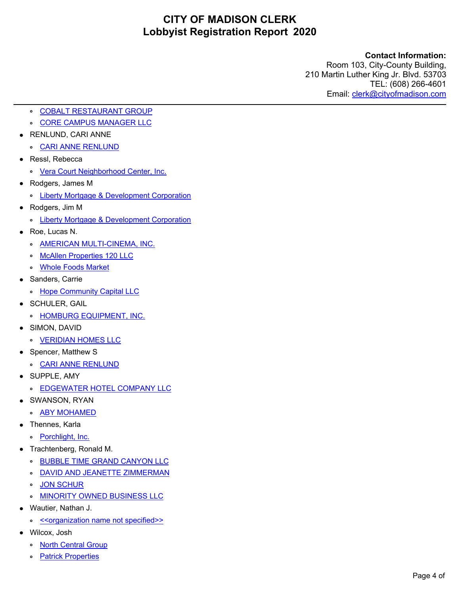### **Contact Information:**

- **°** [COBALT RESTAURANT GROUP](https://crystal.cityofmadison.com/WebReports/adapter/XReport.aspx?env=Webaccess&export=true&exporttype=5&reportName=/Webaccess/LobbyistRegistration&AltID=LOBREG-2020-00136)
- **°** [CORE CAMPUS MANAGER LLC](https://crystal.cityofmadison.com/WebReports/adapter/XReport.aspx?env=Webaccess&export=true&exporttype=5&reportName=/Webaccess/LobbyistRegistration&AltID=LOBREG-2020-00131)
- **•** RENLUND, CARI ANNE
- **°** [CARI ANNE RENLUND](https://crystal.cityofmadison.com/WebReports/adapter/XReport.aspx?env=Webaccess&export=true&exporttype=5&reportName=/Webaccess/LobbyistRegistration&AltID=LOBREG-2020-00196)
- **•** Ressl, Rebecca
	- **°** [Vera Court Neighborhood Center, Inc.](https://crystal.cityofmadison.com/WebReports/adapter/XReport.aspx?env=Webaccess&export=true&exporttype=5&reportName=/Webaccess/LobbyistRegistration&AltID=LOBREG-2020-00084)
- **•** Rodgers, James M
	- **°** [Liberty Mortgage & Development Corporation](https://crystal.cityofmadison.com/WebReports/adapter/XReport.aspx?env=Webaccess&export=true&exporttype=5&reportName=/Webaccess/LobbyistRegistration&AltID=LOBREG-2020-00079)
- **•** Rodgers, Jim M
	- **°** [Liberty Mortgage & Development Corporation](https://crystal.cityofmadison.com/WebReports/adapter/XReport.aspx?env=Webaccess&export=true&exporttype=5&reportName=/Webaccess/LobbyistRegistration&AltID=LOBREG-2020-00078)
- **•** Roe, Lucas N.
	- **°** [AMERICAN MULTI-CINEMA, INC.](https://crystal.cityofmadison.com/WebReports/adapter/XReport.aspx?env=Webaccess&export=true&exporttype=5&reportName=/Webaccess/LobbyistRegistration&AltID=LOBREG-2020-00094)
	- **°** [McAllen Properties 120 LLC](https://crystal.cityofmadison.com/WebReports/adapter/XReport.aspx?env=Webaccess&export=true&exporttype=5&reportName=/Webaccess/LobbyistRegistration&AltID=LOBREG-2020-00120)
	- **°** [Whole Foods Market](https://crystal.cityofmadison.com/WebReports/adapter/XReport.aspx?env=Webaccess&export=true&exporttype=5&reportName=/Webaccess/LobbyistRegistration&AltID=LOBREG-2020-00108)
- **•** Sanders, Carrie
	- **°** [Hope Community Capital LLC](https://crystal.cityofmadison.com/WebReports/adapter/XReport.aspx?env=Webaccess&export=true&exporttype=5&reportName=/Webaccess/LobbyistRegistration&AltID=LOBREG-2020-00082)
- **•** SCHULER, GAIL
	- **°** [HOMBURG EQUIPMENT, INC.](https://crystal.cityofmadison.com/WebReports/adapter/XReport.aspx?env=Webaccess&export=true&exporttype=5&reportName=/Webaccess/LobbyistRegistration&AltID=LOBREG-2020-00192)
- **•** SIMON, DAVID
	- **°** [VERIDIAN HOMES LLC](https://crystal.cityofmadison.com/WebReports/adapter/XReport.aspx?env=Webaccess&export=true&exporttype=5&reportName=/Webaccess/LobbyistRegistration&AltID=LOBREG-2020-00181)
- **•** Spencer, Matthew S
	- **°** [CARI ANNE RENLUND](https://crystal.cityofmadison.com/WebReports/adapter/XReport.aspx?env=Webaccess&export=true&exporttype=5&reportName=/Webaccess/LobbyistRegistration&AltID=LOBREG-2020-00199)
- **•** SUPPLE, AMY
	- **°** [EDGEWATER HOTEL COMPANY LLC](https://crystal.cityofmadison.com/WebReports/adapter/XReport.aspx?env=Webaccess&export=true&exporttype=5&reportName=/Webaccess/LobbyistRegistration&AltID=LOBREG-2020-00176)
- **•** SWANSON, RYAN
	- **°** [ABY MOHAMED](https://crystal.cityofmadison.com/WebReports/adapter/XReport.aspx?env=Webaccess&export=true&exporttype=5&reportName=/Webaccess/LobbyistRegistration&AltID=LOBREG-2020-00145)
- **•** Thennes, Karla
	- **°** [Porchlight, Inc.](https://crystal.cityofmadison.com/WebReports/adapter/XReport.aspx?env=Webaccess&export=true&exporttype=5&reportName=/Webaccess/LobbyistRegistration&AltID=LOBREG-2020-00008)
- **•** Trachtenberg, Ronald M.
	- **°** [BUBBLE TIME GRAND CANYON LLC](https://crystal.cityofmadison.com/WebReports/adapter/XReport.aspx?env=Webaccess&export=true&exporttype=5&reportName=/Webaccess/LobbyistRegistration&AltID=LOBREG-2020-00154)
	- **°** [DAVID AND JEANETTE ZIMMERMAN](https://crystal.cityofmadison.com/WebReports/adapter/XReport.aspx?env=Webaccess&export=true&exporttype=5&reportName=/Webaccess/LobbyistRegistration&AltID=LOBREG-2020-00141)
	- **° [JON SCHUR](https://crystal.cityofmadison.com/WebReports/adapter/XReport.aspx?env=Webaccess&export=true&exporttype=5&reportName=/Webaccess/LobbyistRegistration&AltID=LOBREG-2020-00140)**
	- **°** [MINORITY OWNED BUSINESS LLC](https://crystal.cityofmadison.com/WebReports/adapter/XReport.aspx?env=Webaccess&export=true&exporttype=5&reportName=/Webaccess/LobbyistRegistration&AltID=LOBREG-2020-00155)
- **•** Wautier, Nathan J.
	- **°** [<<organization name not specified>>](https://crystal.cityofmadison.com/WebReports/adapter/XReport.aspx?env=Webaccess&export=true&exporttype=5&reportName=/Webaccess/LobbyistRegistration&AltID=LOBREG-2020-00009)
- **•** Wilcox, Josh
	- **°** [North Central Group](https://crystal.cityofmadison.com/WebReports/adapter/XReport.aspx?env=Webaccess&export=true&exporttype=5&reportName=/Webaccess/LobbyistRegistration&AltID=LOBREG-2020-00092)
	- **[Patrick Properties](https://crystal.cityofmadison.com/WebReports/adapter/XReport.aspx?env=Webaccess&export=true&exporttype=5&reportName=/Webaccess/LobbyistRegistration&AltID=LOBREG-2020-00121)**